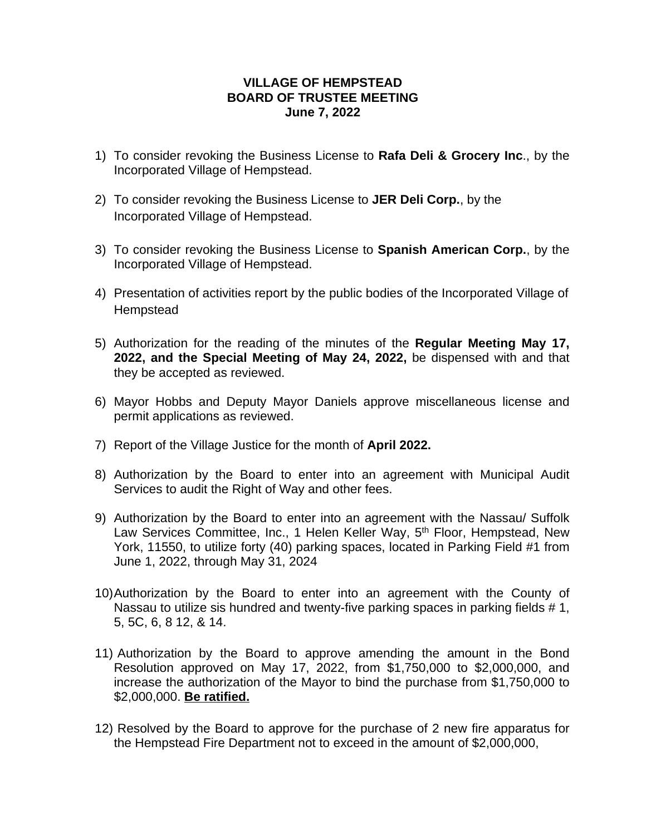## **VILLAGE OF HEMPSTEAD BOARD OF TRUSTEE MEETING June 7, 2022**

- 1) To consider revoking the Business License to **Rafa Deli & Grocery Inc**., by the Incorporated Village of Hempstead.
- 2) To consider revoking the Business License to **JER Deli Corp.**, by the Incorporated Village of Hempstead.
- 3) To consider revoking the Business License to **Spanish American Corp.**, by the Incorporated Village of Hempstead.
- 4) Presentation of activities report by the public bodies of the Incorporated Village of **Hempstead**
- 5) Authorization for the reading of the minutes of the **Regular Meeting May 17, 2022, and the Special Meeting of May 24, 2022,** be dispensed with and that they be accepted as reviewed.
- 6) Mayor Hobbs and Deputy Mayor Daniels approve miscellaneous license and permit applications as reviewed.
- 7) Report of the Village Justice for the month of **April 2022.**
- 8) Authorization by the Board to enter into an agreement with Municipal Audit Services to audit the Right of Way and other fees.
- 9) Authorization by the Board to enter into an agreement with the Nassau/ Suffolk Law Services Committee, Inc., 1 Helen Keller Way, 5<sup>th</sup> Floor, Hempstead, New York, 11550, to utilize forty (40) parking spaces, located in Parking Field #1 from June 1, 2022, through May 31, 2024
- 10)Authorization by the Board to enter into an agreement with the County of Nassau to utilize sis hundred and twenty-five parking spaces in parking fields #1, 5, 5C, 6, 8 12, & 14.
- 11) Authorization by the Board to approve amending the amount in the Bond Resolution approved on May 17, 2022, from \$1,750,000 to \$2,000,000, and increase the authorization of the Mayor to bind the purchase from \$1,750,000 to \$2,000,000. **Be ratified.**
- 12) Resolved by the Board to approve for the purchase of 2 new fire apparatus for the Hempstead Fire Department not to exceed in the amount of \$2,000,000,